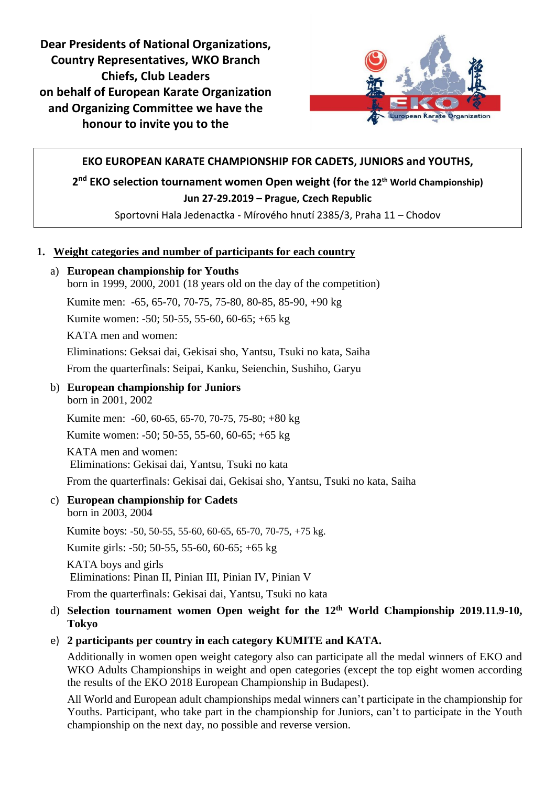**Dear Presidents of National Organizations, Country Representatives, WKO Branch Chiefs, Club Leaders on behalf of European Karate Organization and Organizing Committee we have the honour to invite you to the**



### **EKO EUROPEAN KARATE CHAMPIONSHIP FOR CADETS, JUNIORS and YOUTHS,**

**2 nd EKO selection tournament women Open weight (for the 12th World Championship)**

### **Jun 27-29.2019 – Prague, Czech Republic**

Sportovni Hala Jedenactka - Mírového hnutí 2385/3, Praha 11 – Chodov

### **1. Weight categories and number of participants for each country**

#### a) **European championship for Youths**

born in 1999, 2000, 2001 (18 years old on the day of the competition)

Kumite men: -65, 65-70, 70-75, 75-80, 80-85, 85-90, +90 kg

Kumite women: -50; 50-55, 55-60, 60-65; +65 kg

KATA men and women:

Eliminations: Geksai dai, Gekisai sho, Yantsu, Tsuki no kata, Saiha

From the quarterfinals: Seipai, Kanku, Seienchin, Sushiho, Garyu

## b) **European championship for Juniors**

born in 2001, 2002

Kumite men: -60, 60-65, 65-70, 70-75, 75-80; +80 kg

Kumite women: -50; 50-55, 55-60, 60-65; +65 kg

KATA men and women: Eliminations: Gekisai dai, Yantsu, Tsuki no kata

From the quarterfinals: Gekisai dai, Gekisai sho, Yantsu, Tsuki no kata, Saiha

### c) **European championship for Cadets**

born in 2003, 2004

Kumite boys: -50, 50-55, 55-60, 60-65, 65-70, 70-75, +75 kg.

Kumite girls: -50; 50-55, 55-60, 60-65; +65 kg

KATA boys and girls

Eliminations: Pinan II, Pinian III, Pinian IV, Pinian V

From the quarterfinals: Gekisai dai, Yantsu, Tsuki no kata

### d) **Selection tournament women Open weight for the 12th World Championship 2019.11.9-10, Tokyo**

### e) **2 participants per country in each category KUMITE and KATA.**

Additionally in women open weight category also can participate all the medal winners of EKO and WKO Adults Championships in weight and open categories (except the top eight women according the results of the EKO 2018 European Championship in Budapest).

All World and European adult championships medal winners can't participate in the championship for Youths. Participant, who take part in the championship for Juniors, can't to participate in the Youth championship on the next day, no possible and reverse version.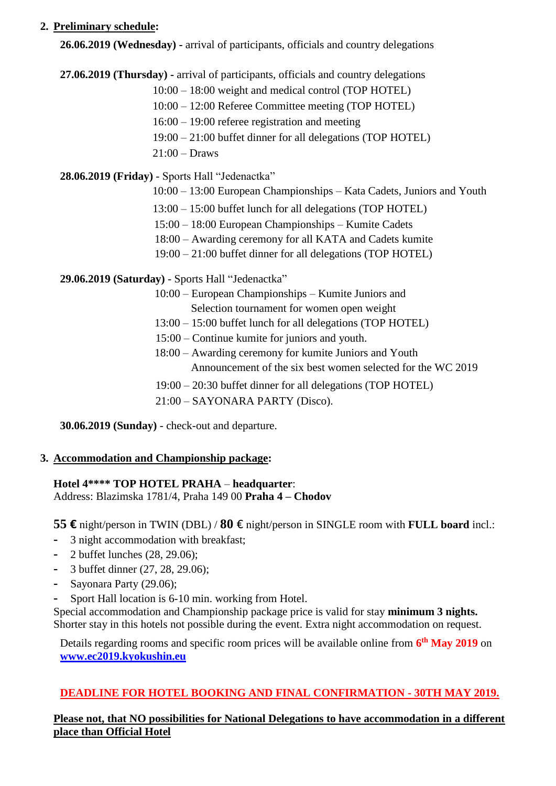## **2. Preliminary schedule:**

**26.06.2019 (Wednesday) -** arrival of participants, officials and country delegations

**27.06.2019 (Thursday) -** arrival of participants, officials and country delegations

- 10:00 18:00 weight and medical control (TOP HOTEL)
- 10:00 12:00 Referee Committee meeting (TOP HOTEL)
- 16:00 19:00 referee registration and meeting
- 19:00 21:00 buffet dinner for all delegations (TOP HOTEL)
- 21:00 Draws

# **28.06.2019 (Friday)** - Sports Hall "Jedenactka"

- 10:00 13:00 European Championships Kata Cadets, Juniors and Youth
- 13:00 15:00 buffet lunch for all delegations (TOP HOTEL)
- 15:00 18:00 European Championships Kumite Cadets
- 18:00 Awarding ceremony for all KATA and Cadets kumite
- 19:00 21:00 buffet dinner for all delegations (TOP HOTEL)

**29.06.2019 (Saturday)** - Sports Hall "Jedenactka"

- 10:00 European Championships Kumite Juniors and
	- Selection tournament for women open weight
- 13:00 15:00 buffet lunch for all delegations (TOP HOTEL)
- 15:00 Continue kumite for juniors and youth.
- 18:00 Awarding ceremony for kumite Juniors and Youth Announcement of the six best women selected for the WC 2019
- 19:00 20:30 buffet dinner for all delegations (TOP HOTEL)
- 21:00 SAYONARA PARTY (Disco).

**30.06.2019 (Sunday)** - check-out and departure.

# **3. Accommodation and Championship package:**

## **Hotel 4\*\*\*\* TOP HOTEL PRAHA** – **headquarter**:

Address: Blazimska 1781/4, Praha 149 00 **Praha 4 – Chodov**

**55 €** night/person in TWIN (DBL) / **80** € night/person in SINGLE room with **FULL board** incl.:

- **-** 3 night accommodation with breakfast;
- **-** 2 buffet lunches (28, 29.06);
- **-** 3 buffet dinner (27, 28, 29.06);
- **-** Sayonara Party (29.06);
- **-** Sport Hall location is 6-10 min. working from Hotel.

Special accommodation and Championship package price is valid for stay **minimum 3 nights.** Shorter stay in this hotels not possible during the event. Extra night accommodation on request.

Details regarding rooms and specific room prices will be available online from **6 th May 2019** on **[www.ec2019.kyokushin.eu](http://www.ec2019.kyokushin.eu/)**

# **DEADLINE FOR HOTEL BOOKING AND FINAL CONFIRMATION - 30TH MAY 2019.**

**Please not, that NO possibilities for National Delegations to have accommodation in a different place than Official Hotel**